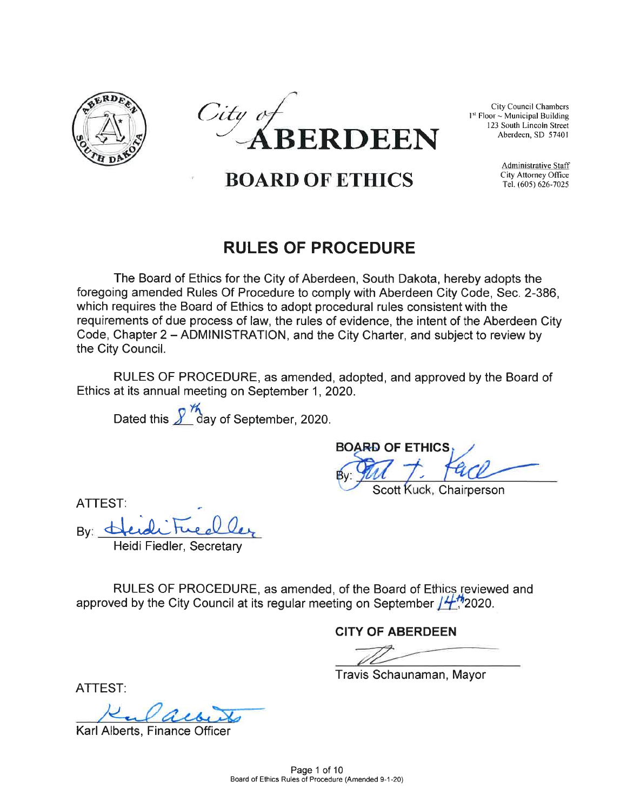



City Council Chambers 1<sup>st</sup> Floor ~ Municipal Building 123 South Lincoln Street

Administrative Staff

# RULES OF PROCEDURE

The Board of Ethics for the City of Aberdeen, South Dakota, hereby adopts the foregoing amended Rules Of Procedure to comply with Aberdeen City Code, Sec. 2-386, which requires the Board of Ethics to adopt procedural rules consistent with the which requires the Board of Ethics to adopt procedural rules consistent with the<br>requirements of due process of law, the rules of evidence, the intent of the Aberdeen City<br>Code, Chapter 2 – ADMINISTRATION, and the City Cha Code, Chapter 2 – ADMINISTRATION, and the City Charter, and subject to review by the City Council.

RULES OF PROCEDURE, as amended, adopted, and approved by the Board of Ethics at its annual meeting on September 1, 2020.

Dated this  $\frac{\cancel{2}^{\cancel{2}}\cancel{4}}{\cancel{2}}$  day of September, 2020.

BOARD OF ETHICS BOARD OF ETHICS

Scott Kuck, Chairperson

ATTEST:

By:  $d$ 

Heidi Fiedler, Secretary

RULES OF PROCEDURE, as amended, of the Board of Ethics reviewed and approved by the City Council at its regular meeting on September  $/472020$ .

CITY OF ABERDEEN

Travis Schaunaman, Mayor

ATTEST:

Karl Alberts, Finance Office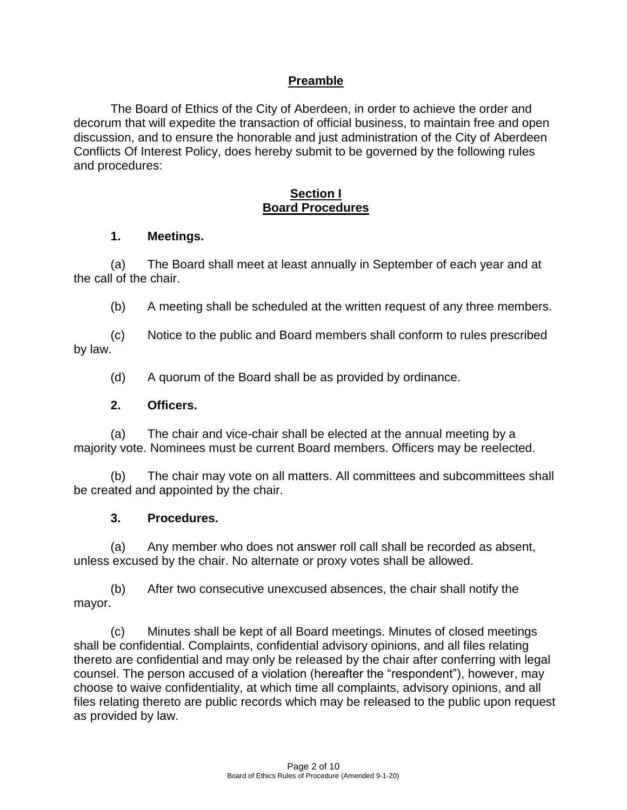### **Preamble**

The Board of Ethics of the City of Aberdeen, in order to achieve the order and decorum that will expedite the transaction of official business, to maintain free and open discussion, and to ensure the honorable and just administration of the City of Aberdeen Conflicts Of Interest Policy, does hereby submit to be governed by the following rules and procedures:

#### **Section I Board Procedures**

#### **1. Meetings.**

(a) The Board shall meet at least annually in September of each year and at the call of the chair.

(b) A meeting shall be scheduled at the written request of any three members.

(c) Notice to the public and Board members shall conform to rules prescribed by law.

(d) A quorum of the Board shall be as provided by ordinance.

#### **2. Officers.**

(a) The chair and vice-chair shall be elected at the annual meeting by a majority vote. Nominees must be current Board members. Officers may be reelected.

(b) The chair may vote on all matters. All committees and subcommittees shall be created and appointed by the chair.

#### **3. Procedures.**

(a) Any member who does not answer roll call shall be recorded as absent, unless excused by the chair. No alternate or proxy votes shall be allowed.

(b) After two consecutive unexcused absences, the chair shall notify the mayor.

(c) Minutes shall be kept of all Board meetings. Minutes of closed meetings shall be confidential. Complaints, confidential advisory opinions, and all files relating thereto are confidential and may only be released by the chair after conferring with legal counsel. The person accused of a violation (hereafter the "respondent"), however, may choose to waive confidentiality, at which time all complaints, advisory opinions, and all files relating thereto are public records which may be released to the public upon request as provided by law.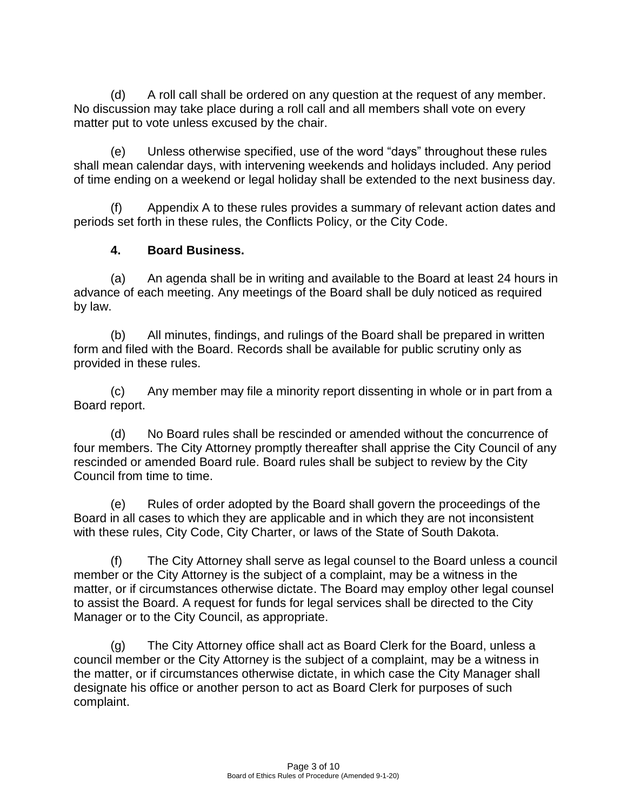(d) A roll call shall be ordered on any question at the request of any member. No discussion may take place during a roll call and all members shall vote on every matter put to vote unless excused by the chair.

(e) Unless otherwise specified, use of the word "days" throughout these rules shall mean calendar days, with intervening weekends and holidays included. Any period of time ending on a weekend or legal holiday shall be extended to the next business day.

(f) Appendix A to these rules provides a summary of relevant action dates and periods set forth in these rules, the Conflicts Policy, or the City Code.

# **4. Board Business.**

(a) An agenda shall be in writing and available to the Board at least 24 hours in advance of each meeting. Any meetings of the Board shall be duly noticed as required by law.

(b) All minutes, findings, and rulings of the Board shall be prepared in written form and filed with the Board. Records shall be available for public scrutiny only as provided in these rules.

(c) Any member may file a minority report dissenting in whole or in part from a Board report.

(d) No Board rules shall be rescinded or amended without the concurrence of four members. The City Attorney promptly thereafter shall apprise the City Council of any rescinded or amended Board rule. Board rules shall be subject to review by the City Council from time to time.

(e) Rules of order adopted by the Board shall govern the proceedings of the Board in all cases to which they are applicable and in which they are not inconsistent with these rules, City Code, City Charter, or laws of the State of South Dakota.

(f) The City Attorney shall serve as legal counsel to the Board unless a council member or the City Attorney is the subject of a complaint, may be a witness in the matter, or if circumstances otherwise dictate. The Board may employ other legal counsel to assist the Board. A request for funds for legal services shall be directed to the City Manager or to the City Council, as appropriate.

(g) The City Attorney office shall act as Board Clerk for the Board, unless a council member or the City Attorney is the subject of a complaint, may be a witness in the matter, or if circumstances otherwise dictate, in which case the City Manager shall designate his office or another person to act as Board Clerk for purposes of such complaint.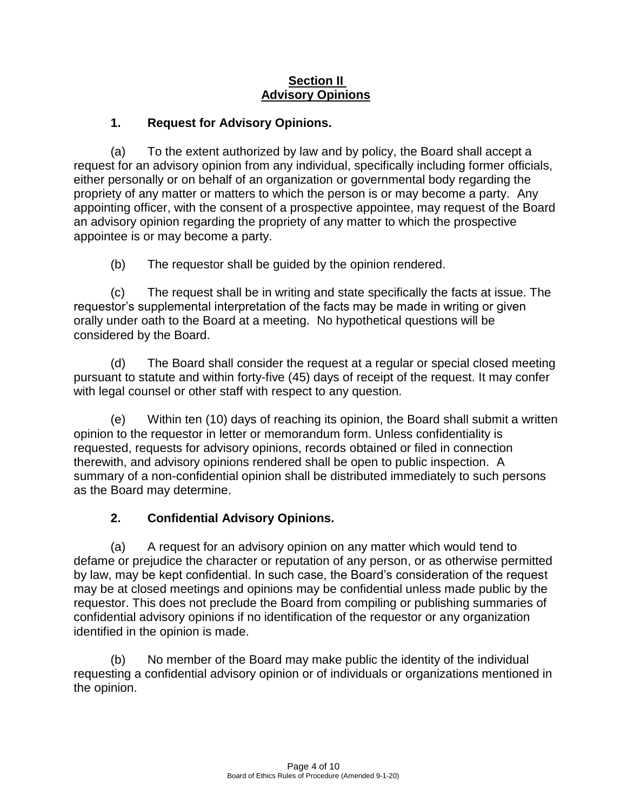### **Section II Advisory Opinions**

# **1. Request for Advisory Opinions.**

(a) To the extent authorized by law and by policy, the Board shall accept a request for an advisory opinion from any individual, specifically including former officials, either personally or on behalf of an organization or governmental body regarding the propriety of any matter or matters to which the person is or may become a party. Any appointing officer, with the consent of a prospective appointee, may request of the Board an advisory opinion regarding the propriety of any matter to which the prospective appointee is or may become a party.

(b) The requestor shall be guided by the opinion rendered.

(c) The request shall be in writing and state specifically the facts at issue. The requestor's supplemental interpretation of the facts may be made in writing or given orally under oath to the Board at a meeting. No hypothetical questions will be considered by the Board.

(d) The Board shall consider the request at a regular or special closed meeting pursuant to statute and within forty-five (45) days of receipt of the request. It may confer with legal counsel or other staff with respect to any question.

(e) Within ten (10) days of reaching its opinion, the Board shall submit a written opinion to the requestor in letter or memorandum form. Unless confidentiality is requested, requests for advisory opinions, records obtained or filed in connection therewith, and advisory opinions rendered shall be open to public inspection. A summary of a non-confidential opinion shall be distributed immediately to such persons as the Board may determine.

# **2. Confidential Advisory Opinions.**

(a) A request for an advisory opinion on any matter which would tend to defame or prejudice the character or reputation of any person, or as otherwise permitted by law, may be kept confidential. In such case, the Board's consideration of the request may be at closed meetings and opinions may be confidential unless made public by the requestor. This does not preclude the Board from compiling or publishing summaries of confidential advisory opinions if no identification of the requestor or any organization identified in the opinion is made.

(b) No member of the Board may make public the identity of the individual requesting a confidential advisory opinion or of individuals or organizations mentioned in the opinion.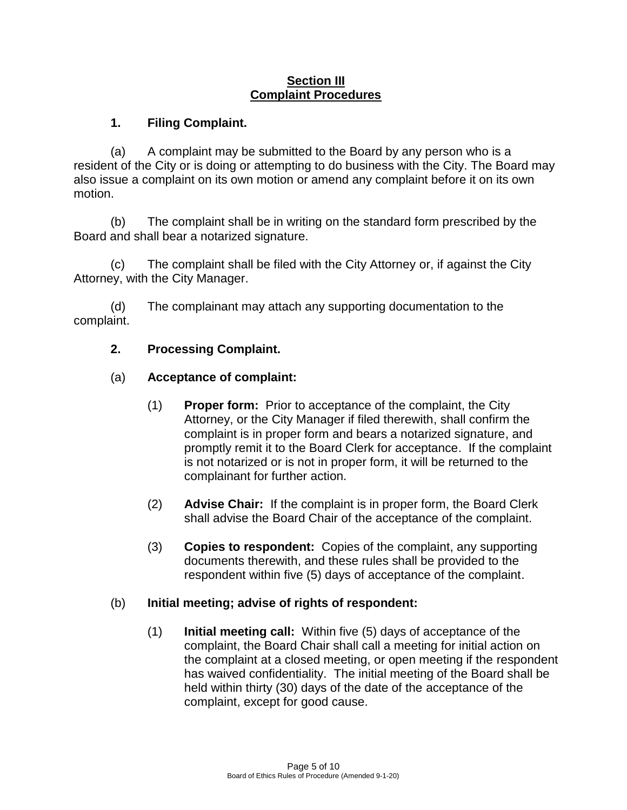#### **Section III Complaint Procedures**

## **1. Filing Complaint.**

(a) A complaint may be submitted to the Board by any person who is a resident of the City or is doing or attempting to do business with the City. The Board may also issue a complaint on its own motion or amend any complaint before it on its own motion.

(b) The complaint shall be in writing on the standard form prescribed by the Board and shall bear a notarized signature.

(c) The complaint shall be filed with the City Attorney or, if against the City Attorney, with the City Manager.

(d) The complainant may attach any supporting documentation to the complaint.

## **2. Processing Complaint.**

## (a) **Acceptance of complaint:**

- (1) **Proper form:** Prior to acceptance of the complaint, the City Attorney, or the City Manager if filed therewith, shall confirm the complaint is in proper form and bears a notarized signature, and promptly remit it to the Board Clerk for acceptance. If the complaint is not notarized or is not in proper form, it will be returned to the complainant for further action.
- (2) **Advise Chair:** If the complaint is in proper form, the Board Clerk shall advise the Board Chair of the acceptance of the complaint.
- (3) **Copies to respondent:** Copies of the complaint, any supporting documents therewith, and these rules shall be provided to the respondent within five (5) days of acceptance of the complaint.

## (b) **Initial meeting; advise of rights of respondent:**

(1) **Initial meeting call:** Within five (5) days of acceptance of the complaint, the Board Chair shall call a meeting for initial action on the complaint at a closed meeting, or open meeting if the respondent has waived confidentiality. The initial meeting of the Board shall be held within thirty (30) days of the date of the acceptance of the complaint, except for good cause.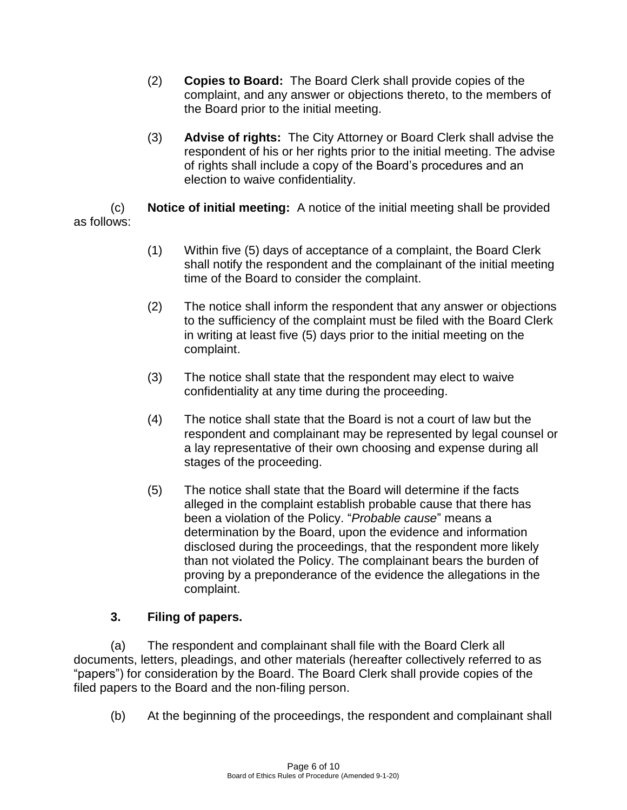- (2) **Copies to Board:** The Board Clerk shall provide copies of the complaint, and any answer or objections thereto, to the members of the Board prior to the initial meeting.
- (3) **Advise of rights:** The City Attorney or Board Clerk shall advise the respondent of his or her rights prior to the initial meeting. The advise of rights shall include a copy of the Board's procedures and an election to waive confidentiality.

(c) **Notice of initial meeting:** A notice of the initial meeting shall be provided as follows:

- (1) Within five (5) days of acceptance of a complaint, the Board Clerk shall notify the respondent and the complainant of the initial meeting time of the Board to consider the complaint.
- (2) The notice shall inform the respondent that any answer or objections to the sufficiency of the complaint must be filed with the Board Clerk in writing at least five (5) days prior to the initial meeting on the complaint.
- (3) The notice shall state that the respondent may elect to waive confidentiality at any time during the proceeding.
- (4) The notice shall state that the Board is not a court of law but the respondent and complainant may be represented by legal counsel or a lay representative of their own choosing and expense during all stages of the proceeding.
- (5) The notice shall state that the Board will determine if the facts alleged in the complaint establish probable cause that there has been a violation of the Policy. "*Probable cause*" means a determination by the Board, upon the evidence and information disclosed during the proceedings, that the respondent more likely than not violated the Policy. The complainant bears the burden of proving by a preponderance of the evidence the allegations in the complaint.

## **3. Filing of papers.**

(a) The respondent and complainant shall file with the Board Clerk all documents, letters, pleadings, and other materials (hereafter collectively referred to as "papers") for consideration by the Board. The Board Clerk shall provide copies of the filed papers to the Board and the non-filing person.

(b) At the beginning of the proceedings, the respondent and complainant shall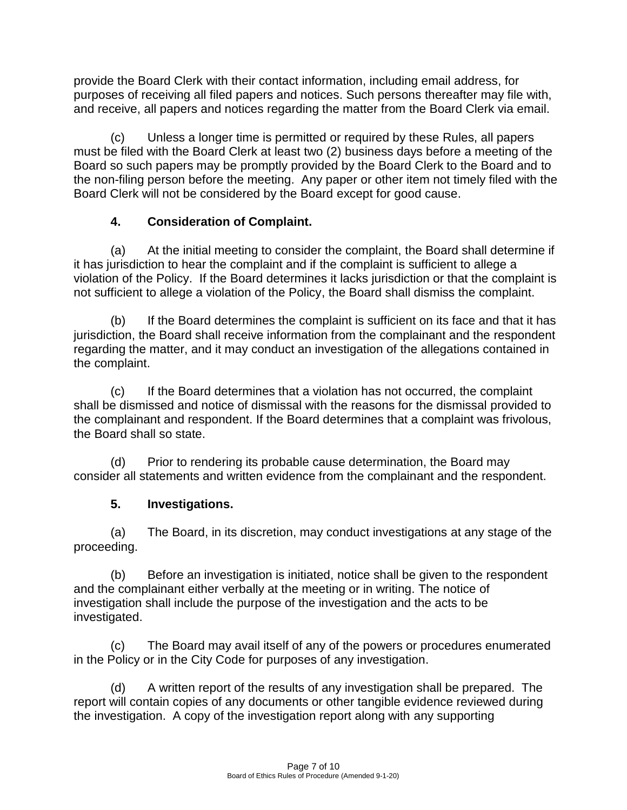provide the Board Clerk with their contact information, including email address, for purposes of receiving all filed papers and notices. Such persons thereafter may file with, and receive, all papers and notices regarding the matter from the Board Clerk via email.

(c) Unless a longer time is permitted or required by these Rules, all papers must be filed with the Board Clerk at least two (2) business days before a meeting of the Board so such papers may be promptly provided by the Board Clerk to the Board and to the non-filing person before the meeting. Any paper or other item not timely filed with the Board Clerk will not be considered by the Board except for good cause.

# **4. Consideration of Complaint.**

(a) At the initial meeting to consider the complaint, the Board shall determine if it has jurisdiction to hear the complaint and if the complaint is sufficient to allege a violation of the Policy. If the Board determines it lacks jurisdiction or that the complaint is not sufficient to allege a violation of the Policy, the Board shall dismiss the complaint.

(b) If the Board determines the complaint is sufficient on its face and that it has jurisdiction, the Board shall receive information from the complainant and the respondent regarding the matter, and it may conduct an investigation of the allegations contained in the complaint.

(c) If the Board determines that a violation has not occurred, the complaint shall be dismissed and notice of dismissal with the reasons for the dismissal provided to the complainant and respondent. If the Board determines that a complaint was frivolous, the Board shall so state.

(d) Prior to rendering its probable cause determination, the Board may consider all statements and written evidence from the complainant and the respondent.

# **5. Investigations.**

(a) The Board, in its discretion, may conduct investigations at any stage of the proceeding.

(b) Before an investigation is initiated, notice shall be given to the respondent and the complainant either verbally at the meeting or in writing. The notice of investigation shall include the purpose of the investigation and the acts to be investigated.

(c) The Board may avail itself of any of the powers or procedures enumerated in the Policy or in the City Code for purposes of any investigation.

(d) A written report of the results of any investigation shall be prepared. The report will contain copies of any documents or other tangible evidence reviewed during the investigation. A copy of the investigation report along with any supporting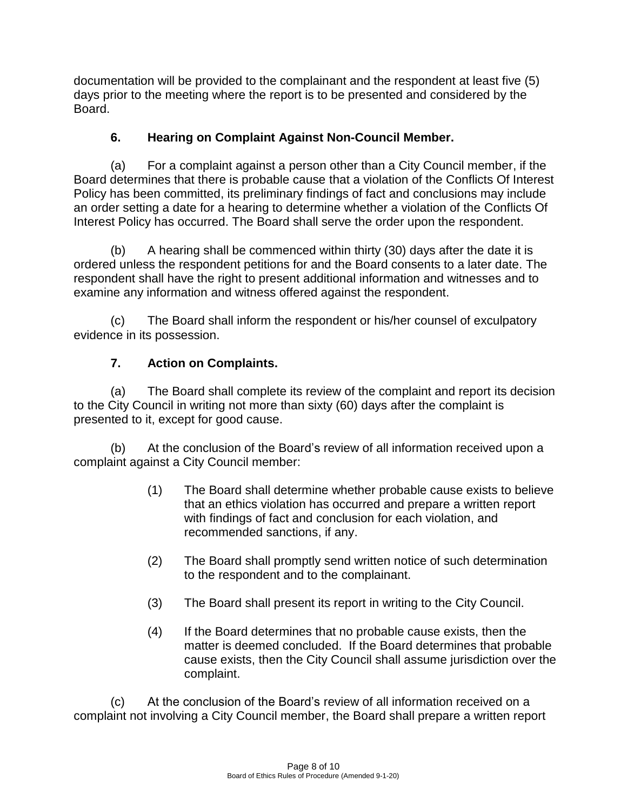documentation will be provided to the complainant and the respondent at least five (5) days prior to the meeting where the report is to be presented and considered by the Board.

# **6. Hearing on Complaint Against Non-Council Member.**

(a) For a complaint against a person other than a City Council member, if the Board determines that there is probable cause that a violation of the Conflicts Of Interest Policy has been committed, its preliminary findings of fact and conclusions may include an order setting a date for a hearing to determine whether a violation of the Conflicts Of Interest Policy has occurred. The Board shall serve the order upon the respondent.

(b) A hearing shall be commenced within thirty (30) days after the date it is ordered unless the respondent petitions for and the Board consents to a later date. The respondent shall have the right to present additional information and witnesses and to examine any information and witness offered against the respondent.

(c) The Board shall inform the respondent or his/her counsel of exculpatory evidence in its possession.

# **7. Action on Complaints.**

(a) The Board shall complete its review of the complaint and report its decision to the City Council in writing not more than sixty (60) days after the complaint is presented to it, except for good cause.

(b) At the conclusion of the Board's review of all information received upon a complaint against a City Council member:

- (1) The Board shall determine whether probable cause exists to believe that an ethics violation has occurred and prepare a written report with findings of fact and conclusion for each violation, and recommended sanctions, if any.
- (2) The Board shall promptly send written notice of such determination to the respondent and to the complainant.
- (3) The Board shall present its report in writing to the City Council.
- (4) If the Board determines that no probable cause exists, then the matter is deemed concluded. If the Board determines that probable cause exists, then the City Council shall assume jurisdiction over the complaint.

(c) At the conclusion of the Board's review of all information received on a complaint not involving a City Council member, the Board shall prepare a written report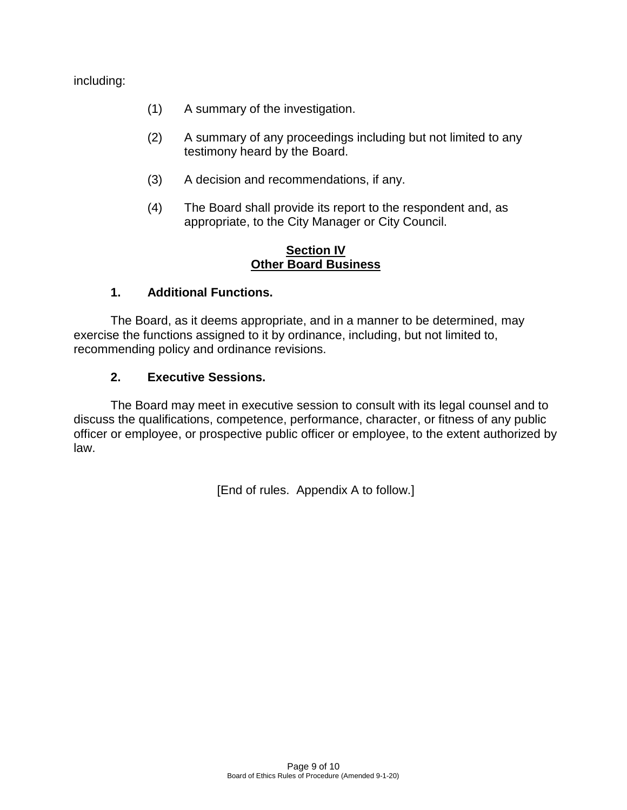including:

- (1) A summary of the investigation.
- (2) A summary of any proceedings including but not limited to any testimony heard by the Board.
- (3) A decision and recommendations, if any.
- (4) The Board shall provide its report to the respondent and, as appropriate, to the City Manager or City Council.

#### **Section IV Other Board Business**

## **1. Additional Functions.**

The Board, as it deems appropriate, and in a manner to be determined, may exercise the functions assigned to it by ordinance, including, but not limited to, recommending policy and ordinance revisions.

#### **2. Executive Sessions.**

The Board may meet in executive session to consult with its legal counsel and to discuss the qualifications, competence, performance, character, or fitness of any public officer or employee, or prospective public officer or employee, to the extent authorized by law.

[End of rules. Appendix A to follow.]